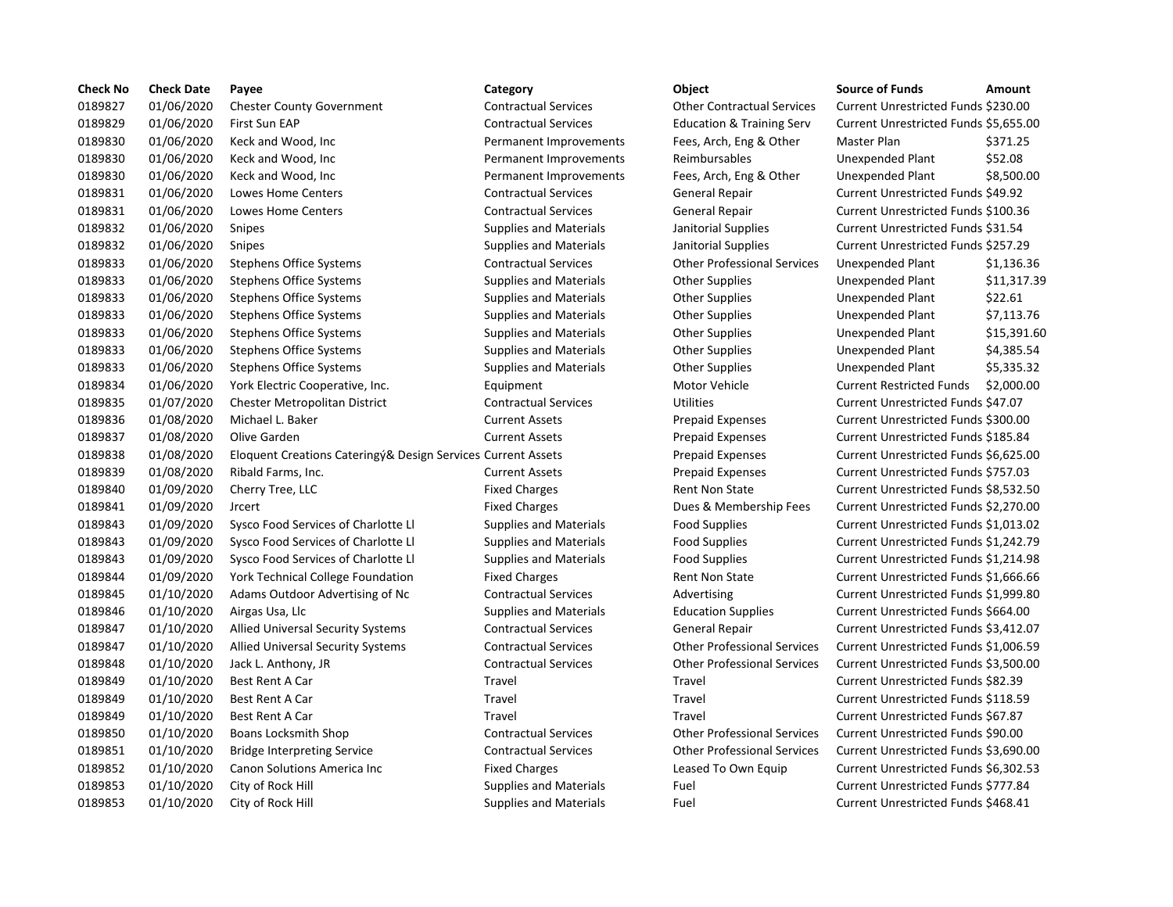| <b>Check No</b> | <b>Check Date</b> | Payee                                                        | Category                      | Object                               | <b>Source of Funds</b>                | Amount     |
|-----------------|-------------------|--------------------------------------------------------------|-------------------------------|--------------------------------------|---------------------------------------|------------|
| 0189827         | 01/06/2020        | <b>Chester County Government</b>                             | <b>Contractual Services</b>   | <b>Other Contractual Services</b>    | Current Unrestricted Funds \$230.00   |            |
| 0189829         | 01/06/2020        | First Sun EAP                                                | <b>Contractual Services</b>   | <b>Education &amp; Training Serv</b> | Current Unrestricted Funds \$5,655.00 |            |
| 0189830         | 01/06/2020        | Keck and Wood, Inc                                           | Permanent Improvements        | Fees, Arch, Eng & Other              | Master Plan                           | \$371.25   |
| 0189830         | 01/06/2020        | Keck and Wood, Inc                                           | Permanent Improvements        | Reimbursables                        | Unexpended Plant                      | \$52.08    |
| 0189830         | 01/06/2020        | Keck and Wood, Inc.                                          | Permanent Improvements        | Fees, Arch, Eng & Other              | Unexpended Plant                      | \$8,500.00 |
| 0189831         | 01/06/2020        | Lowes Home Centers                                           | <b>Contractual Services</b>   | General Repair                       | Current Unrestricted Funds \$49.92    |            |
| 0189831         | 01/06/2020        | <b>Lowes Home Centers</b>                                    | <b>Contractual Services</b>   | <b>General Repair</b>                | Current Unrestricted Funds \$100.36   |            |
| 0189832         | 01/06/2020        | Snipes                                                       | <b>Supplies and Materials</b> | Janitorial Supplies                  | Current Unrestricted Funds \$31.54    |            |
| 0189832         | 01/06/2020        | Snipes                                                       | <b>Supplies and Materials</b> | Janitorial Supplies                  | Current Unrestricted Funds \$257.29   |            |
| 0189833         | 01/06/2020        | <b>Stephens Office Systems</b>                               | <b>Contractual Services</b>   | <b>Other Professional Services</b>   | <b>Unexpended Plant</b>               | \$1,136.36 |
| 0189833         | 01/06/2020        | <b>Stephens Office Systems</b>                               | <b>Supplies and Materials</b> | <b>Other Supplies</b>                | Unexpended Plant                      | \$11,317.3 |
| 0189833         | 01/06/2020        | Stephens Office Systems                                      | Supplies and Materials        | Other Supplies                       | Unexpended Plant                      | \$22.61    |
| 0189833         | 01/06/2020        | <b>Stephens Office Systems</b>                               | <b>Supplies and Materials</b> | <b>Other Supplies</b>                | Unexpended Plant                      | \$7,113.76 |
| 0189833         | 01/06/2020        | <b>Stephens Office Systems</b>                               | <b>Supplies and Materials</b> | Other Supplies                       | Unexpended Plant                      | \$15,391.6 |
| 0189833         | 01/06/2020        | <b>Stephens Office Systems</b>                               | <b>Supplies and Materials</b> | <b>Other Supplies</b>                | Unexpended Plant                      | \$4,385.54 |
| 0189833         | 01/06/2020        | <b>Stephens Office Systems</b>                               | <b>Supplies and Materials</b> | <b>Other Supplies</b>                | Unexpended Plant                      | \$5,335.32 |
| 0189834         | 01/06/2020        | York Electric Cooperative, Inc.                              | Equipment                     | Motor Vehicle                        | <b>Current Restricted Funds</b>       | \$2,000.00 |
| 0189835         | 01/07/2020        | Chester Metropolitan District                                | <b>Contractual Services</b>   | <b>Utilities</b>                     | Current Unrestricted Funds \$47.07    |            |
| 0189836         | 01/08/2020        | Michael L. Baker                                             | <b>Current Assets</b>         | <b>Prepaid Expenses</b>              | Current Unrestricted Funds \$300.00   |            |
| 0189837         | 01/08/2020        | Olive Garden                                                 | <b>Current Assets</b>         | <b>Prepaid Expenses</b>              | Current Unrestricted Funds \$185.84   |            |
| 0189838         | 01/08/2020        | Eloquent Creations Cateringy& Design Services Current Assets |                               | <b>Prepaid Expenses</b>              | Current Unrestricted Funds \$6,625.00 |            |
| 0189839         | 01/08/2020        | Ribald Farms, Inc.                                           | <b>Current Assets</b>         | <b>Prepaid Expenses</b>              | Current Unrestricted Funds \$757.03   |            |
| 0189840         | 01/09/2020        | Cherry Tree, LLC                                             | <b>Fixed Charges</b>          | Rent Non State                       | Current Unrestricted Funds \$8,532.50 |            |
| 0189841         | 01/09/2020        | <b>Jrcert</b>                                                | <b>Fixed Charges</b>          | Dues & Membership Fees               | Current Unrestricted Funds \$2,270.00 |            |
| 0189843         | 01/09/2020        | Sysco Food Services of Charlotte Ll                          | <b>Supplies and Materials</b> | <b>Food Supplies</b>                 | Current Unrestricted Funds \$1,013.02 |            |
| 0189843         | 01/09/2020        | Sysco Food Services of Charlotte Ll                          | <b>Supplies and Materials</b> | <b>Food Supplies</b>                 | Current Unrestricted Funds \$1,242.79 |            |
| 0189843         | 01/09/2020        | Sysco Food Services of Charlotte Ll                          | <b>Supplies and Materials</b> | <b>Food Supplies</b>                 | Current Unrestricted Funds \$1,214.98 |            |
| 0189844         | 01/09/2020        | <b>York Technical College Foundation</b>                     | <b>Fixed Charges</b>          | <b>Rent Non State</b>                | Current Unrestricted Funds \$1,666.66 |            |
| 0189845         | 01/10/2020        | Adams Outdoor Advertising of Nc                              | <b>Contractual Services</b>   | Advertising                          | Current Unrestricted Funds \$1,999.80 |            |
| 0189846         | 01/10/2020        | Airgas Usa, Llc                                              | <b>Supplies and Materials</b> | <b>Education Supplies</b>            | Current Unrestricted Funds \$664.00   |            |
| 0189847         | 01/10/2020        | <b>Allied Universal Security Systems</b>                     | <b>Contractual Services</b>   | <b>General Repair</b>                | Current Unrestricted Funds \$3,412.07 |            |
| 0189847         | 01/10/2020        | <b>Allied Universal Security Systems</b>                     | <b>Contractual Services</b>   | <b>Other Professional Services</b>   | Current Unrestricted Funds \$1,006.59 |            |
| 0189848         | 01/10/2020        | Jack L. Anthony, JR                                          | <b>Contractual Services</b>   | <b>Other Professional Services</b>   | Current Unrestricted Funds \$3,500.00 |            |
| 0189849         | 01/10/2020        | Best Rent A Car                                              | Travel                        | Travel                               | Current Unrestricted Funds \$82.39    |            |
| 0189849         | 01/10/2020        | <b>Best Rent A Car</b>                                       | Travel                        | Travel                               | Current Unrestricted Funds \$118.59   |            |
| 0189849         | 01/10/2020        | <b>Best Rent A Car</b>                                       | Travel                        | Travel                               | Current Unrestricted Funds \$67.87    |            |
| 0189850         | 01/10/2020        | Boans Locksmith Shop                                         | <b>Contractual Services</b>   | <b>Other Professional Services</b>   | Current Unrestricted Funds \$90.00    |            |
| 0189851         | 01/10/2020        | <b>Bridge Interpreting Service</b>                           | <b>Contractual Services</b>   | <b>Other Professional Services</b>   | Current Unrestricted Funds \$3,690.00 |            |
| 0189852         | 01/10/2020        | Canon Solutions America Inc                                  | <b>Fixed Charges</b>          | Leased To Own Equip                  | Current Unrestricted Funds \$6,302.53 |            |
| 0189853         | 01/10/2020        | City of Rock Hill                                            | <b>Supplies and Materials</b> | Fuel                                 | Current Unrestricted Funds \$777.84   |            |
| 0189853         | 01/10/2020        | City of Rock Hill                                            | <b>Supplies and Materials</b> | Fuel                                 | Current Unrestricted Funds \$468.41   |            |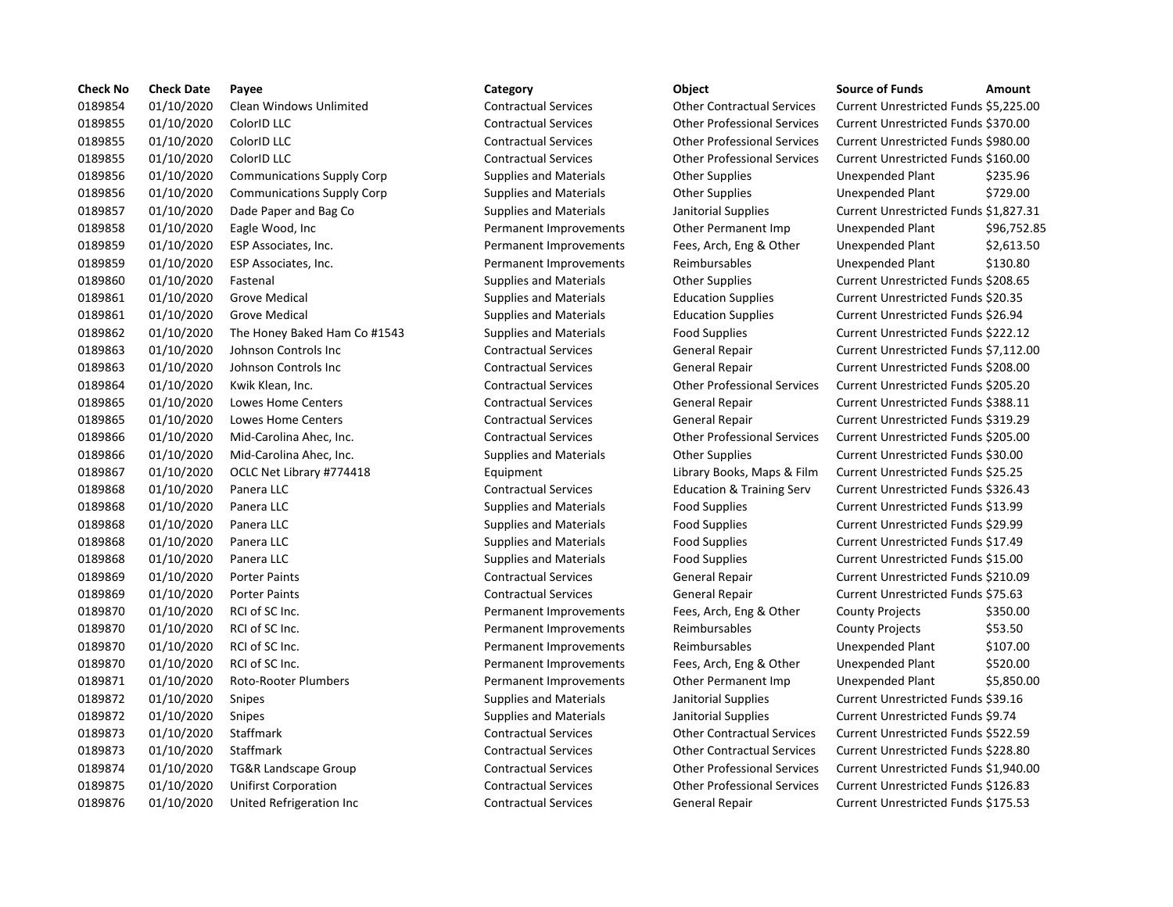| <b>Check No</b> | <b>Check Date</b> | Payee                             | Category                      | Object                               | <b>Source of Funds</b>                     | Amount    |
|-----------------|-------------------|-----------------------------------|-------------------------------|--------------------------------------|--------------------------------------------|-----------|
| 0189854         | 01/10/2020        | Clean Windows Unlimited           | <b>Contractual Services</b>   | <b>Other Contractual Services</b>    | Current Unrestricted Funds \$5,225.0       |           |
| 0189855         | 01/10/2020        | ColorID LLC                       | <b>Contractual Services</b>   | <b>Other Professional Services</b>   | Current Unrestricted Funds \$370.00        |           |
| 0189855         | 01/10/2020        | ColorID LLC                       | <b>Contractual Services</b>   | <b>Other Professional Services</b>   | Current Unrestricted Funds \$980.00        |           |
| 0189855         | 01/10/2020        | ColorID LLC                       | <b>Contractual Services</b>   | <b>Other Professional Services</b>   | Current Unrestricted Funds \$160.00        |           |
| 0189856         | 01/10/2020        | <b>Communications Supply Corp</b> | <b>Supplies and Materials</b> | <b>Other Supplies</b>                | Unexpended Plant                           | \$235.96  |
| 0189856         | 01/10/2020        | <b>Communications Supply Corp</b> | <b>Supplies and Materials</b> | <b>Other Supplies</b>                | Unexpended Plant                           | \$729.00  |
| 0189857         | 01/10/2020        | Dade Paper and Bag Co             | <b>Supplies and Materials</b> | Janitorial Supplies                  | Current Unrestricted Funds \$1,827.3       |           |
| 0189858         | 01/10/2020        | Eagle Wood, Inc                   | Permanent Improvements        | Other Permanent Imp                  | Unexpended Plant                           | \$96,752  |
| 0189859         | 01/10/2020        | ESP Associates, Inc.              | Permanent Improvements        | Fees, Arch, Eng & Other              | Unexpended Plant                           | \$2,613.5 |
| 0189859         | 01/10/2020        | ESP Associates, Inc.              | Permanent Improvements        | Reimbursables                        | Unexpended Plant                           | \$130.80  |
| 0189860         | 01/10/2020        | Fastenal                          | <b>Supplies and Materials</b> | <b>Other Supplies</b>                | Current Unrestricted Funds \$208.65        |           |
| 0189861         | 01/10/2020        | <b>Grove Medical</b>              | <b>Supplies and Materials</b> | <b>Education Supplies</b>            | Current Unrestricted Funds \$20.35         |           |
| 0189861         | 01/10/2020        | <b>Grove Medical</b>              | <b>Supplies and Materials</b> | <b>Education Supplies</b>            | Current Unrestricted Funds \$26.94         |           |
| 0189862         | 01/10/2020        | The Honey Baked Ham Co #1543      | Supplies and Materials        | <b>Food Supplies</b>                 | Current Unrestricted Funds \$222.12        |           |
| 0189863         | 01/10/2020        | Johnson Controls Inc              | <b>Contractual Services</b>   | <b>General Repair</b>                | Current Unrestricted Funds \$7,112.0       |           |
| 0189863         | 01/10/2020        | Johnson Controls Inc              | <b>Contractual Services</b>   | <b>General Repair</b>                | Current Unrestricted Funds \$208.00        |           |
| 0189864         | 01/10/2020        | Kwik Klean, Inc.                  | <b>Contractual Services</b>   | <b>Other Professional Services</b>   | Current Unrestricted Funds \$205.20        |           |
| 0189865         | 01/10/2020        | Lowes Home Centers                | <b>Contractual Services</b>   | <b>General Repair</b>                | Current Unrestricted Funds \$388.11        |           |
| 0189865         | 01/10/2020        | Lowes Home Centers                | <b>Contractual Services</b>   | General Repair                       | <b>Current Unrestricted Funds \$319.29</b> |           |
| 0189866         | 01/10/2020        | Mid-Carolina Ahec, Inc.           | <b>Contractual Services</b>   | <b>Other Professional Services</b>   | Current Unrestricted Funds \$205.00        |           |
| 0189866         | 01/10/2020        | Mid-Carolina Ahec, Inc.           | <b>Supplies and Materials</b> | <b>Other Supplies</b>                | Current Unrestricted Funds \$30.00         |           |
| 0189867         | 01/10/2020        | OCLC Net Library #774418          | Equipment                     | Library Books, Maps & Film           | Current Unrestricted Funds \$25.25         |           |
| 0189868         | 01/10/2020        | Panera LLC                        | <b>Contractual Services</b>   | <b>Education &amp; Training Serv</b> | Current Unrestricted Funds \$326.43        |           |
| 0189868         | 01/10/2020        | Panera LLC                        | <b>Supplies and Materials</b> | Food Supplies                        | Current Unrestricted Funds \$13.99         |           |
| 0189868         | 01/10/2020        | Panera LLC                        | <b>Supplies and Materials</b> | Food Supplies                        | Current Unrestricted Funds \$29.99         |           |
| 0189868         | 01/10/2020        | Panera LLC                        | <b>Supplies and Materials</b> | Food Supplies                        | Current Unrestricted Funds \$17.49         |           |
| 0189868         | 01/10/2020        | Panera LLC                        | <b>Supplies and Materials</b> | Food Supplies                        | Current Unrestricted Funds \$15.00         |           |
| 0189869         | 01/10/2020        | <b>Porter Paints</b>              | <b>Contractual Services</b>   | <b>General Repair</b>                | Current Unrestricted Funds \$210.09        |           |
| 0189869         | 01/10/2020        | <b>Porter Paints</b>              | <b>Contractual Services</b>   | <b>General Repair</b>                | Current Unrestricted Funds \$75.63         |           |
| 0189870         | 01/10/2020        | RCI of SC Inc.                    | Permanent Improvements        | Fees, Arch, Eng & Other              | <b>County Projects</b>                     | \$350.00  |
| 0189870         | 01/10/2020        | RCI of SC Inc.                    | Permanent Improvements        | Reimbursables                        | <b>County Projects</b>                     | \$53.50   |
| 0189870         | 01/10/2020        | RCI of SC Inc.                    | Permanent Improvements        | Reimbursables                        | Unexpended Plant                           | \$107.00  |
| 0189870         | 01/10/2020        | RCI of SC Inc.                    | Permanent Improvements        | Fees, Arch, Eng & Other              | Unexpended Plant                           | \$520.00  |
| 0189871         | 01/10/2020        | Roto-Rooter Plumbers              | Permanent Improvements        | Other Permanent Imp                  | Unexpended Plant                           | \$5,850.0 |
| 0189872         | 01/10/2020        | Snipes                            | <b>Supplies and Materials</b> | Janitorial Supplies                  | Current Unrestricted Funds \$39.16         |           |
| 0189872         | 01/10/2020        | Snipes                            | <b>Supplies and Materials</b> | Janitorial Supplies                  | Current Unrestricted Funds \$9.74          |           |
| 0189873         | 01/10/2020        | Staffmark                         | <b>Contractual Services</b>   | <b>Other Contractual Services</b>    | Current Unrestricted Funds \$522.59        |           |
| 0189873         | 01/10/2020        | Staffmark                         | <b>Contractual Services</b>   | <b>Other Contractual Services</b>    | Current Unrestricted Funds \$228.80        |           |
| 0189874         | 01/10/2020        | <b>TG&amp;R Landscape Group</b>   | <b>Contractual Services</b>   | <b>Other Professional Services</b>   | Current Unrestricted Funds \$1,940.0       |           |
| 0189875         | 01/10/2020        | <b>Unifirst Corporation</b>       | <b>Contractual Services</b>   | <b>Other Professional Services</b>   | Current Unrestricted Funds \$126.83        |           |
| 0189876         | 01/10/2020        | United Refrigeration Inc          | <b>Contractual Services</b>   | <b>General Repair</b>                | <b>Current Unrestricted Funds \$175.53</b> |           |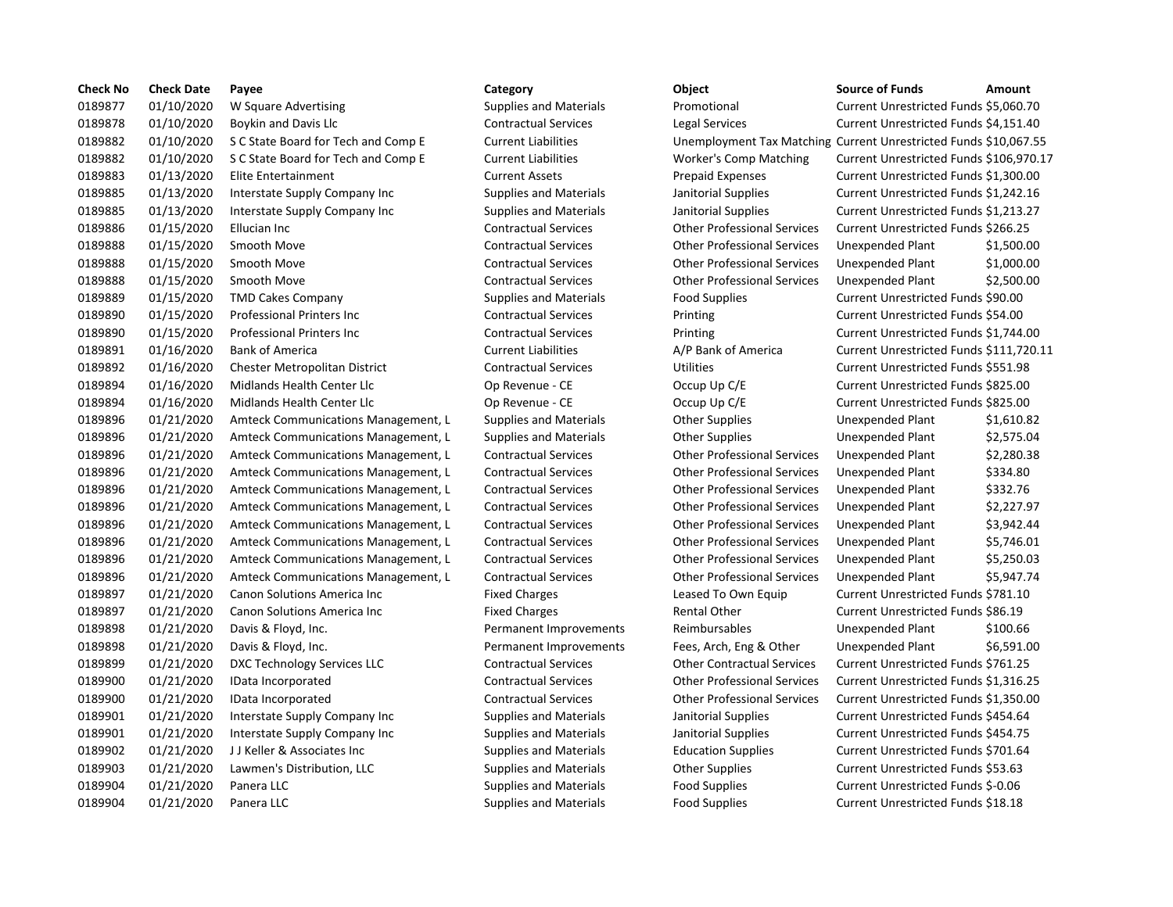| <b>Check No</b> | <b>Check Date</b> | Payee                               | Category                      | Object                                                        | <b>Source of Funds</b>               | Amount     |
|-----------------|-------------------|-------------------------------------|-------------------------------|---------------------------------------------------------------|--------------------------------------|------------|
| 0189877         | 01/10/2020        | W Square Advertising                | <b>Supplies and Materials</b> | Promotional                                                   | Current Unrestricted Funds \$5,060.7 |            |
| 0189878         | 01/10/2020        | <b>Boykin and Davis Llc</b>         | <b>Contractual Services</b>   | Legal Services                                                | Current Unrestricted Funds \$4,151.4 |            |
| 0189882         | 01/10/2020        | S C State Board for Tech and Comp E | <b>Current Liabilities</b>    | Unemployment Tax Matching Current Unrestricted Funds \$10,067 |                                      |            |
| 0189882         | 01/10/2020        | S C State Board for Tech and Comp E | <b>Current Liabilities</b>    | <b>Worker's Comp Matching</b>                                 | Current Unrestricted Funds \$106,97  |            |
| 0189883         | 01/13/2020        | Elite Entertainment                 | <b>Current Assets</b>         | <b>Prepaid Expenses</b>                                       | Current Unrestricted Funds \$1,300.0 |            |
| 0189885         | 01/13/2020        | Interstate Supply Company Inc       | <b>Supplies and Materials</b> | Janitorial Supplies                                           | Current Unrestricted Funds \$1,242.1 |            |
| 0189885         | 01/13/2020        | Interstate Supply Company Inc       | <b>Supplies and Materials</b> | Janitorial Supplies                                           | Current Unrestricted Funds \$1,213.2 |            |
| 0189886         | 01/15/2020        | Ellucian Inc                        | <b>Contractual Services</b>   | <b>Other Professional Services</b>                            | Current Unrestricted Funds \$266.25  |            |
| 0189888         | 01/15/2020        | Smooth Move                         | <b>Contractual Services</b>   | <b>Other Professional Services</b>                            | Unexpended Plant                     | \$1,500.0  |
| 0189888         | 01/15/2020        | Smooth Move                         | <b>Contractual Services</b>   | <b>Other Professional Services</b>                            | Unexpended Plant                     | \$1,000.0  |
| 0189888         | 01/15/2020        | Smooth Move                         | <b>Contractual Services</b>   | <b>Other Professional Services</b>                            | Unexpended Plant                     | \$2,500.0  |
| 0189889         | 01/15/2020        | <b>TMD Cakes Company</b>            | <b>Supplies and Materials</b> | <b>Food Supplies</b>                                          | Current Unrestricted Funds \$90.00   |            |
| 0189890         | 01/15/2020        | <b>Professional Printers Inc.</b>   | <b>Contractual Services</b>   | Printing                                                      | Current Unrestricted Funds \$54.00   |            |
| 0189890         | 01/15/2020        | <b>Professional Printers Inc.</b>   | <b>Contractual Services</b>   | Printing                                                      | Current Unrestricted Funds \$1,744.0 |            |
| 0189891         | 01/16/2020        | <b>Bank of America</b>              | <b>Current Liabilities</b>    | A/P Bank of America                                           | Current Unrestricted Funds \$111,72  |            |
| 0189892         | 01/16/2020        | Chester Metropolitan District       | <b>Contractual Services</b>   | <b>Utilities</b>                                              | Current Unrestricted Funds \$551.98  |            |
| 0189894         | 01/16/2020        | Midlands Health Center Llc          | Op Revenue - CE               | Occup Up C/E                                                  | Current Unrestricted Funds \$825.00  |            |
| 0189894         | 01/16/2020        | Midlands Health Center Llc          | Op Revenue - CE               | Occup Up C/E                                                  | Current Unrestricted Funds \$825.00  |            |
| 0189896         | 01/21/2020        | Amteck Communications Management, L | <b>Supplies and Materials</b> | <b>Other Supplies</b>                                         | Unexpended Plant                     | $$1,610.\$ |
| 0189896         | 01/21/2020        | Amteck Communications Management, L | <b>Supplies and Materials</b> | <b>Other Supplies</b>                                         | Unexpended Plant                     | \$2,575.0  |
| 0189896         | 01/21/2020        | Amteck Communications Management, L | <b>Contractual Services</b>   | <b>Other Professional Services</b>                            | Unexpended Plant                     | \$2,280.3  |
| 0189896         | 01/21/2020        | Amteck Communications Management, L | <b>Contractual Services</b>   | <b>Other Professional Services</b>                            | Unexpended Plant                     | \$334.80   |
| 0189896         | 01/21/2020        | Amteck Communications Management, L | <b>Contractual Services</b>   | <b>Other Professional Services</b>                            | Unexpended Plant                     | \$332.76   |
| 0189896         | 01/21/2020        | Amteck Communications Management, L | <b>Contractual Services</b>   | <b>Other Professional Services</b>                            | Unexpended Plant                     | \$2,227.9  |
| 0189896         | 01/21/2020        | Amteck Communications Management, L | <b>Contractual Services</b>   | <b>Other Professional Services</b>                            | Unexpended Plant                     | \$3,942.4  |
| 0189896         | 01/21/2020        | Amteck Communications Management, L | <b>Contractual Services</b>   | <b>Other Professional Services</b>                            | Unexpended Plant                     | \$5,746.0  |
| 0189896         | 01/21/2020        | Amteck Communications Management, L | <b>Contractual Services</b>   | <b>Other Professional Services</b>                            | Unexpended Plant                     | \$5,250.0  |
| 0189896         | 01/21/2020        | Amteck Communications Management, L | <b>Contractual Services</b>   | <b>Other Professional Services</b>                            | Unexpended Plant                     | \$5,947.7  |
| 0189897         | 01/21/2020        | Canon Solutions America Inc         | <b>Fixed Charges</b>          | Leased To Own Equip                                           | Current Unrestricted Funds \$781.10  |            |
| 0189897         | 01/21/2020        | <b>Canon Solutions America Inc.</b> | <b>Fixed Charges</b>          | Rental Other                                                  | Current Unrestricted Funds \$86.19   |            |
| 0189898         | 01/21/2020        | Davis & Floyd, Inc.                 | Permanent Improvements        | Reimbursables                                                 | Unexpended Plant                     | \$100.66   |
| 0189898         | 01/21/2020        | Davis & Floyd, Inc.                 | Permanent Improvements        | Fees, Arch, Eng & Other                                       | Unexpended Plant                     | \$6,591.0  |
| 0189899         | 01/21/2020        | DXC Technology Services LLC         | <b>Contractual Services</b>   | <b>Other Contractual Services</b>                             | Current Unrestricted Funds \$761.25  |            |
| 0189900         | 01/21/2020        | IData Incorporated                  | <b>Contractual Services</b>   | <b>Other Professional Services</b>                            | Current Unrestricted Funds \$1,316.2 |            |
| 0189900         | 01/21/2020        | IData Incorporated                  | <b>Contractual Services</b>   | <b>Other Professional Services</b>                            | Current Unrestricted Funds \$1,350.0 |            |
| 0189901         | 01/21/2020        | Interstate Supply Company Inc       | <b>Supplies and Materials</b> | Janitorial Supplies                                           | Current Unrestricted Funds \$454.64  |            |
| 0189901         | 01/21/2020        | Interstate Supply Company Inc       | <b>Supplies and Materials</b> | Janitorial Supplies                                           | Current Unrestricted Funds \$454.75  |            |
| 0189902         | 01/21/2020        | JJ Keller & Associates Inc          | <b>Supplies and Materials</b> | <b>Education Supplies</b>                                     | Current Unrestricted Funds \$701.64  |            |
| 0189903         | 01/21/2020        | Lawmen's Distribution, LLC          | <b>Supplies and Materials</b> | <b>Other Supplies</b>                                         | Current Unrestricted Funds \$53.63   |            |
| 0189904         | 01/21/2020        | Panera LLC                          | <b>Supplies and Materials</b> | <b>Food Supplies</b>                                          | Current Unrestricted Funds \$-0.06   |            |
| 0189904         | 01/21/2020        | Panera LLC                          | <b>Supplies and Materials</b> | <b>Food Supplies</b>                                          | Current Unrestricted Funds \$18.18   |            |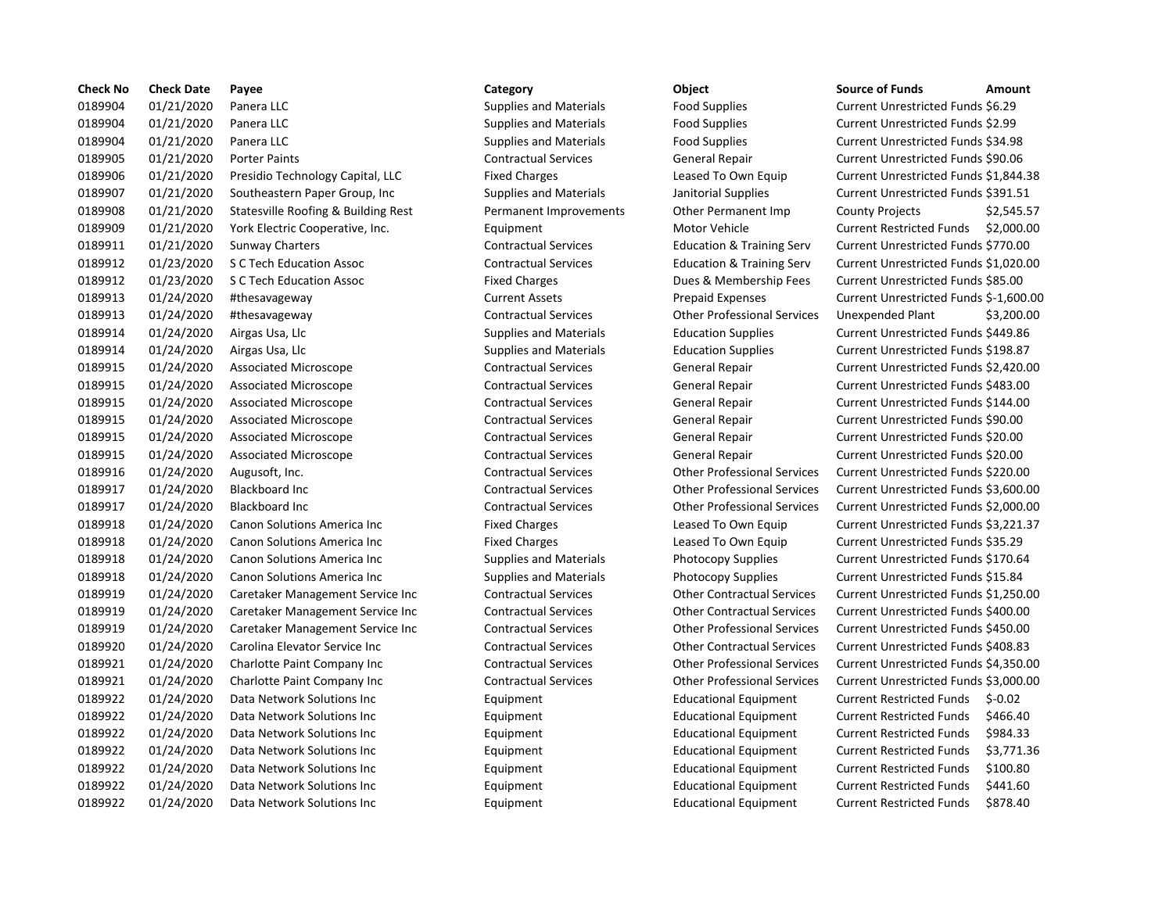| <b>Check No</b> | <b>Check Date</b> | Payee                               | Category                      | Object                               | <b>Source of Funds</b><br>Amount             |
|-----------------|-------------------|-------------------------------------|-------------------------------|--------------------------------------|----------------------------------------------|
| 0189904         | 01/21/2020        | Panera LLC                          | <b>Supplies and Materials</b> | <b>Food Supplies</b>                 | Current Unrestricted Funds \$6.29            |
| 0189904         | 01/21/2020        | Panera LLC                          | <b>Supplies and Materials</b> | <b>Food Supplies</b>                 | <b>Current Unrestricted Funds \$2.99</b>     |
| 0189904         | 01/21/2020        | Panera LLC                          | <b>Supplies and Materials</b> | Food Supplies                        | Current Unrestricted Funds \$34.98           |
| 0189905         | 01/21/2020        | <b>Porter Paints</b>                | <b>Contractual Services</b>   | <b>General Repair</b>                | Current Unrestricted Funds \$90.06           |
| 0189906         | 01/21/2020        | Presidio Technology Capital, LLC    | <b>Fixed Charges</b>          | Leased To Own Equip                  | Current Unrestricted Funds \$1,844.3         |
| 0189907         | 01/21/2020        | Southeastern Paper Group, Inc       | <b>Supplies and Materials</b> | Janitorial Supplies                  | Current Unrestricted Funds \$391.51          |
| 0189908         | 01/21/2020        | Statesville Roofing & Building Rest | Permanent Improvements        | Other Permanent Imp                  | <b>County Projects</b><br>\$2,545.5          |
| 0189909         | 01/21/2020        | York Electric Cooperative, Inc.     | Equipment                     | Motor Vehicle                        | <b>Current Restricted Funds</b><br>\$2,000.0 |
| 0189911         | 01/21/2020        | <b>Sunway Charters</b>              | <b>Contractual Services</b>   | <b>Education &amp; Training Serv</b> | Current Unrestricted Funds \$770.00          |
| 0189912         | 01/23/2020        | S C Tech Education Assoc            | <b>Contractual Services</b>   | <b>Education &amp; Training Serv</b> | Current Unrestricted Funds \$1,020.0         |
| 0189912         | 01/23/2020        | <b>S C Tech Education Assoc</b>     | <b>Fixed Charges</b>          | Dues & Membership Fees               | Current Unrestricted Funds \$85.00           |
| 0189913         | 01/24/2020        | #thesavageway                       | <b>Current Assets</b>         | <b>Prepaid Expenses</b>              | Current Unrestricted Funds \$-1,600.         |
| 0189913         | 01/24/2020        | #thesavageway                       | <b>Contractual Services</b>   | <b>Other Professional Services</b>   | Unexpended Plant<br>\$3,200.0                |
| 0189914         | 01/24/2020        | Airgas Usa, Llc                     | <b>Supplies and Materials</b> | <b>Education Supplies</b>            | Current Unrestricted Funds \$449.86          |
| 0189914         | 01/24/2020        | Airgas Usa, Llc                     | <b>Supplies and Materials</b> | <b>Education Supplies</b>            | Current Unrestricted Funds \$198.87          |
| 0189915         | 01/24/2020        | <b>Associated Microscope</b>        | <b>Contractual Services</b>   | <b>General Repair</b>                | Current Unrestricted Funds \$2,420.0         |
| 0189915         | 01/24/2020        | Associated Microscope               | <b>Contractual Services</b>   | General Repair                       | Current Unrestricted Funds \$483.00          |
| 0189915         | 01/24/2020        | Associated Microscope               | <b>Contractual Services</b>   | General Repair                       | Current Unrestricted Funds \$144.00          |
| 0189915         | 01/24/2020        | <b>Associated Microscope</b>        | <b>Contractual Services</b>   | <b>General Repair</b>                | Current Unrestricted Funds \$90.00           |
| 0189915         | 01/24/2020        | <b>Associated Microscope</b>        | <b>Contractual Services</b>   | <b>General Repair</b>                | Current Unrestricted Funds \$20.00           |
| 0189915         | 01/24/2020        | <b>Associated Microscope</b>        | <b>Contractual Services</b>   | General Repair                       | Current Unrestricted Funds \$20.00           |
| 0189916         | 01/24/2020        | Augusoft, Inc.                      | <b>Contractual Services</b>   | <b>Other Professional Services</b>   | Current Unrestricted Funds \$220.00          |
| 0189917         | 01/24/2020        | <b>Blackboard Inc</b>               | <b>Contractual Services</b>   | <b>Other Professional Services</b>   | Current Unrestricted Funds \$3,600.0         |
| 0189917         | 01/24/2020        | <b>Blackboard Inc</b>               | <b>Contractual Services</b>   | <b>Other Professional Services</b>   | Current Unrestricted Funds \$2,000.0         |
| 0189918         | 01/24/2020        | Canon Solutions America Inc         | <b>Fixed Charges</b>          | Leased To Own Equip                  | Current Unrestricted Funds \$3,221.3         |
| 0189918         | 01/24/2020        | Canon Solutions America Inc         | <b>Fixed Charges</b>          | Leased To Own Equip                  | Current Unrestricted Funds \$35.29           |
| 0189918         | 01/24/2020        | Canon Solutions America Inc         | <b>Supplies and Materials</b> | Photocopy Supplies                   | Current Unrestricted Funds \$170.64          |
| 0189918         | 01/24/2020        | Canon Solutions America Inc         | <b>Supplies and Materials</b> | Photocopy Supplies                   | Current Unrestricted Funds \$15.84           |
| 0189919         | 01/24/2020        | Caretaker Management Service Inc    | <b>Contractual Services</b>   | <b>Other Contractual Services</b>    | Current Unrestricted Funds \$1,250.0         |
| 0189919         | 01/24/2020        | Caretaker Management Service Inc    | <b>Contractual Services</b>   | <b>Other Contractual Services</b>    | Current Unrestricted Funds \$400.00          |
| 0189919         | 01/24/2020        | Caretaker Management Service Inc    | <b>Contractual Services</b>   | <b>Other Professional Services</b>   | Current Unrestricted Funds \$450.00          |
| 0189920         | 01/24/2020        | Carolina Elevator Service Inc       | <b>Contractual Services</b>   | <b>Other Contractual Services</b>    | Current Unrestricted Funds \$408.83          |
| 0189921         | 01/24/2020        | Charlotte Paint Company Inc         | <b>Contractual Services</b>   | <b>Other Professional Services</b>   | Current Unrestricted Funds \$4,350.0         |
| 0189921         | 01/24/2020        | Charlotte Paint Company Inc         | <b>Contractual Services</b>   | <b>Other Professional Services</b>   | Current Unrestricted Funds \$3,000.0         |
| 0189922         | 01/24/2020        | Data Network Solutions Inc          | Equipment                     | <b>Educational Equipment</b>         | <b>Current Restricted Funds</b><br>$$-0.02$  |
| 0189922         | 01/24/2020        | Data Network Solutions Inc          | Equipment                     | <b>Educational Equipment</b>         | <b>Current Restricted Funds</b><br>\$466.40  |
| 0189922         | 01/24/2020        | Data Network Solutions Inc          | Equipment                     | <b>Educational Equipment</b>         | <b>Current Restricted Funds</b><br>\$984.33  |
| 0189922         | 01/24/2020        | Data Network Solutions Inc          | Equipment                     | <b>Educational Equipment</b>         | <b>Current Restricted Funds</b><br>\$3,771.3 |
| 0189922         | 01/24/2020        | Data Network Solutions Inc          | Equipment                     | <b>Educational Equipment</b>         | \$100.80<br><b>Current Restricted Funds</b>  |
| 0189922         | 01/24/2020        | Data Network Solutions Inc          | Equipment                     | <b>Educational Equipment</b>         | <b>Current Restricted Funds</b><br>\$441.60  |
| 0189922         | 01/24/2020        | Data Network Solutions Inc          | Equipment                     | <b>Educational Equipment</b>         | \$878.40<br><b>Current Restricted Funds</b>  |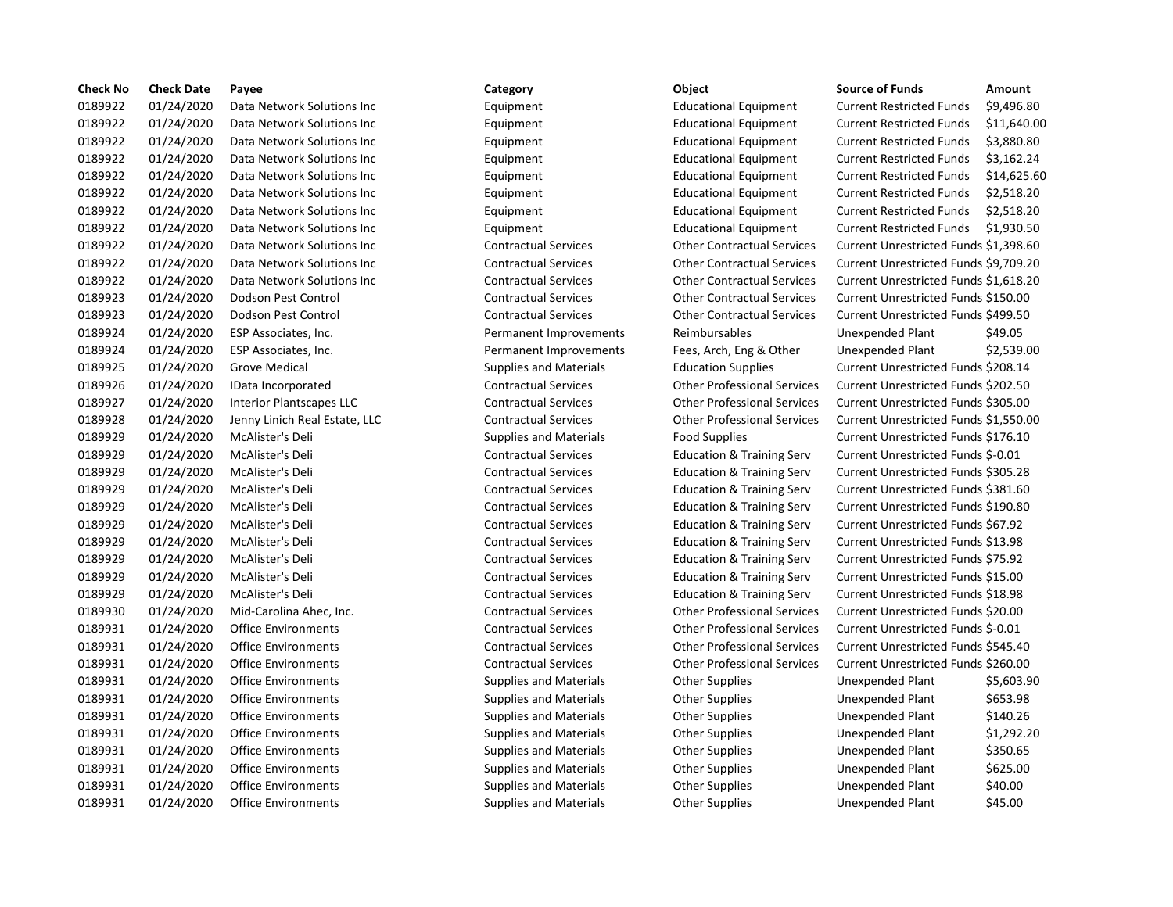| <b>Check No</b> | <b>Check Date</b> | Payee                           | Category                      | <b>Object</b>                        | <b>Source of Funds</b>               | Amount    |
|-----------------|-------------------|---------------------------------|-------------------------------|--------------------------------------|--------------------------------------|-----------|
| 0189922         | 01/24/2020        | Data Network Solutions Inc      | Equipment                     | <b>Educational Equipment</b>         | <b>Current Restricted Funds</b>      | \$9,496.8 |
| 0189922         | 01/24/2020        | Data Network Solutions Inc      | Equipment                     | <b>Educational Equipment</b>         | <b>Current Restricted Funds</b>      | \$11,640  |
| 0189922         | 01/24/2020        | Data Network Solutions Inc      | Equipment                     | <b>Educational Equipment</b>         | <b>Current Restricted Funds</b>      | \$3,880.8 |
| 0189922         | 01/24/2020        | Data Network Solutions Inc      | Equipment                     | <b>Educational Equipment</b>         | <b>Current Restricted Funds</b>      | \$3,162.2 |
| 0189922         | 01/24/2020        | Data Network Solutions Inc      | Equipment                     | <b>Educational Equipment</b>         | <b>Current Restricted Funds</b>      | \$14,625  |
| 0189922         | 01/24/2020        | Data Network Solutions Inc      | Equipment                     | <b>Educational Equipment</b>         | <b>Current Restricted Funds</b>      | \$2,518.2 |
| 0189922         | 01/24/2020        | Data Network Solutions Inc      | Equipment                     | <b>Educational Equipment</b>         | <b>Current Restricted Funds</b>      | \$2,518.2 |
| 0189922         | 01/24/2020        | Data Network Solutions Inc      | Equipment                     | <b>Educational Equipment</b>         | <b>Current Restricted Funds</b>      | \$1,930.5 |
| 0189922         | 01/24/2020        | Data Network Solutions Inc      | <b>Contractual Services</b>   | <b>Other Contractual Services</b>    | Current Unrestricted Funds \$1,398.6 |           |
| 0189922         | 01/24/2020        | Data Network Solutions Inc      | <b>Contractual Services</b>   | <b>Other Contractual Services</b>    | Current Unrestricted Funds \$9,709.2 |           |
| 0189922         | 01/24/2020        | Data Network Solutions Inc      | <b>Contractual Services</b>   | <b>Other Contractual Services</b>    | Current Unrestricted Funds \$1,618.2 |           |
| 0189923         | 01/24/2020        | Dodson Pest Control             | <b>Contractual Services</b>   | <b>Other Contractual Services</b>    | Current Unrestricted Funds \$150.00  |           |
| 0189923         | 01/24/2020        | Dodson Pest Control             | <b>Contractual Services</b>   | <b>Other Contractual Services</b>    | Current Unrestricted Funds \$499.50  |           |
| 0189924         | 01/24/2020        | ESP Associates, Inc.            | Permanent Improvements        | Reimbursables                        | Unexpended Plant                     | \$49.05   |
| 0189924         | 01/24/2020        | ESP Associates, Inc.            | Permanent Improvements        | Fees, Arch, Eng & Other              | Unexpended Plant                     | \$2,539.0 |
| 0189925         | 01/24/2020        | <b>Grove Medical</b>            | <b>Supplies and Materials</b> | <b>Education Supplies</b>            | Current Unrestricted Funds \$208.14  |           |
| 0189926         | 01/24/2020        | IData Incorporated              | <b>Contractual Services</b>   | <b>Other Professional Services</b>   | Current Unrestricted Funds \$202.50  |           |
| 0189927         | 01/24/2020        | <b>Interior Plantscapes LLC</b> | <b>Contractual Services</b>   | <b>Other Professional Services</b>   | Current Unrestricted Funds \$305.00  |           |
| 0189928         | 01/24/2020        | Jenny Linich Real Estate, LLC   | <b>Contractual Services</b>   | <b>Other Professional Services</b>   | Current Unrestricted Funds \$1,550.0 |           |
| 0189929         | 01/24/2020        | McAlister's Deli                | <b>Supplies and Materials</b> | <b>Food Supplies</b>                 | Current Unrestricted Funds \$176.10  |           |
| 0189929         | 01/24/2020        | McAlister's Deli                | <b>Contractual Services</b>   | <b>Education &amp; Training Serv</b> | Current Unrestricted Funds \$-0.01   |           |
| 0189929         | 01/24/2020        | McAlister's Deli                | <b>Contractual Services</b>   | <b>Education &amp; Training Serv</b> | Current Unrestricted Funds \$305.28  |           |
| 0189929         | 01/24/2020        | McAlister's Deli                | <b>Contractual Services</b>   | <b>Education &amp; Training Serv</b> | Current Unrestricted Funds \$381.60  |           |
| 0189929         | 01/24/2020        | McAlister's Deli                | <b>Contractual Services</b>   | <b>Education &amp; Training Serv</b> | Current Unrestricted Funds \$190.80  |           |
| 0189929         | 01/24/2020        | McAlister's Deli                | <b>Contractual Services</b>   | <b>Education &amp; Training Serv</b> | Current Unrestricted Funds \$67.92   |           |
| 0189929         | 01/24/2020        | McAlister's Deli                | <b>Contractual Services</b>   | <b>Education &amp; Training Serv</b> | Current Unrestricted Funds \$13.98   |           |
| 0189929         | 01/24/2020        | McAlister's Deli                | <b>Contractual Services</b>   | <b>Education &amp; Training Serv</b> | Current Unrestricted Funds \$75.92   |           |
| 0189929         | 01/24/2020        | McAlister's Deli                | <b>Contractual Services</b>   | <b>Education &amp; Training Serv</b> | Current Unrestricted Funds \$15.00   |           |
| 0189929         | 01/24/2020        | McAlister's Deli                | <b>Contractual Services</b>   | <b>Education &amp; Training Serv</b> | Current Unrestricted Funds \$18.98   |           |
| 0189930         | 01/24/2020        | Mid-Carolina Ahec, Inc.         | <b>Contractual Services</b>   | <b>Other Professional Services</b>   | Current Unrestricted Funds \$20.00   |           |
| 0189931         | 01/24/2020        | <b>Office Environments</b>      | <b>Contractual Services</b>   | <b>Other Professional Services</b>   | Current Unrestricted Funds \$-0.01   |           |
| 0189931         | 01/24/2020        | <b>Office Environments</b>      | <b>Contractual Services</b>   | <b>Other Professional Services</b>   | Current Unrestricted Funds \$545.40  |           |
| 0189931         | 01/24/2020        | <b>Office Environments</b>      | <b>Contractual Services</b>   | <b>Other Professional Services</b>   | Current Unrestricted Funds \$260.00  |           |
| 0189931         | 01/24/2020        | <b>Office Environments</b>      | <b>Supplies and Materials</b> | <b>Other Supplies</b>                | Unexpended Plant                     | \$5,603.9 |
| 0189931         | 01/24/2020        | <b>Office Environments</b>      | <b>Supplies and Materials</b> | <b>Other Supplies</b>                | Unexpended Plant                     | \$653.98  |
| 0189931         | 01/24/2020        | <b>Office Environments</b>      | <b>Supplies and Materials</b> | <b>Other Supplies</b>                | Unexpended Plant                     | \$140.26  |
| 0189931         | 01/24/2020        | <b>Office Environments</b>      | <b>Supplies and Materials</b> | <b>Other Supplies</b>                | Unexpended Plant                     | \$1,292.2 |
| 0189931         | 01/24/2020        | <b>Office Environments</b>      | <b>Supplies and Materials</b> | <b>Other Supplies</b>                | Unexpended Plant                     | \$350.65  |
| 0189931         | 01/24/2020        | <b>Office Environments</b>      | <b>Supplies and Materials</b> | <b>Other Supplies</b>                | Unexpended Plant                     | \$625.00  |
| 0189931         | 01/24/2020        | <b>Office Environments</b>      | <b>Supplies and Materials</b> | <b>Other Supplies</b>                | Unexpended Plant                     | \$40.00   |
| 0189931         | 01/24/2020        | <b>Office Environments</b>      | <b>Supplies and Materials</b> | <b>Other Supplies</b>                | Unexpended Plant                     | \$45.00   |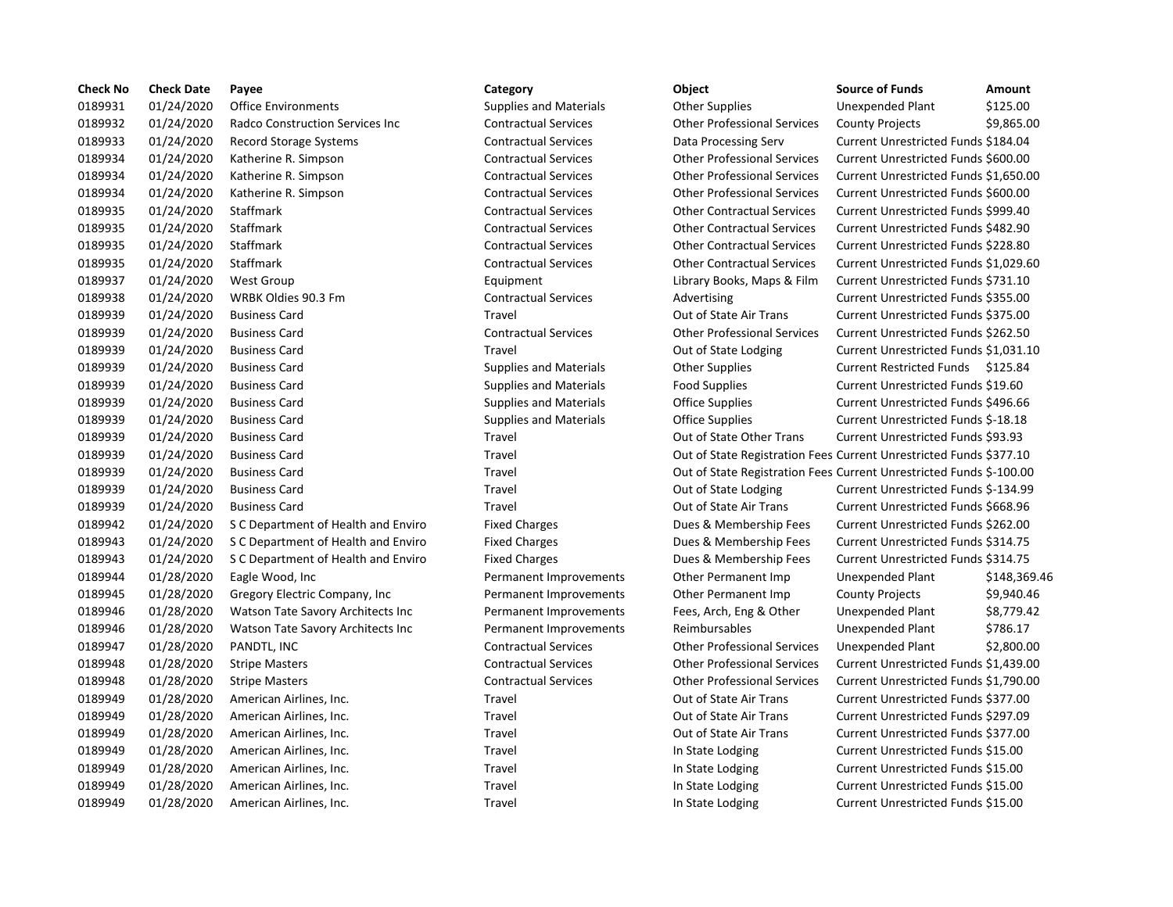| <b>Check No</b> | <b>Check Date</b> | Payee                                  | Category                      | Object                                                              | <b>Source of Funds</b>               | Amount    |
|-----------------|-------------------|----------------------------------------|-------------------------------|---------------------------------------------------------------------|--------------------------------------|-----------|
| 0189931         | 01/24/2020        | <b>Office Environments</b>             | <b>Supplies and Materials</b> | <b>Other Supplies</b>                                               | Unexpended Plant                     | \$125.00  |
| 0189932         | 01/24/2020        | <b>Radco Construction Services Inc</b> | <b>Contractual Services</b>   | <b>Other Professional Services</b>                                  | <b>County Projects</b>               | \$9,865.0 |
| 0189933         | 01/24/2020        | Record Storage Systems                 | <b>Contractual Services</b>   | Data Processing Serv                                                | Current Unrestricted Funds \$184.04  |           |
| 0189934         | 01/24/2020        | Katherine R. Simpson                   | <b>Contractual Services</b>   | <b>Other Professional Services</b>                                  | Current Unrestricted Funds \$600.00  |           |
| 0189934         | 01/24/2020        | Katherine R. Simpson                   | <b>Contractual Services</b>   | <b>Other Professional Services</b>                                  | Current Unrestricted Funds \$1,650.0 |           |
| 0189934         | 01/24/2020        | Katherine R. Simpson                   | <b>Contractual Services</b>   | <b>Other Professional Services</b>                                  | Current Unrestricted Funds \$600.00  |           |
| 0189935         | 01/24/2020        | Staffmark                              | <b>Contractual Services</b>   | <b>Other Contractual Services</b>                                   | Current Unrestricted Funds \$999.40  |           |
| 0189935         | 01/24/2020        | Staffmark                              | <b>Contractual Services</b>   | <b>Other Contractual Services</b>                                   | Current Unrestricted Funds \$482.90  |           |
| 0189935         | 01/24/2020        | Staffmark                              | <b>Contractual Services</b>   | <b>Other Contractual Services</b>                                   | Current Unrestricted Funds \$228.80  |           |
| 0189935         | 01/24/2020        | Staffmark                              | <b>Contractual Services</b>   | <b>Other Contractual Services</b>                                   | Current Unrestricted Funds \$1,029.6 |           |
| 0189937         | 01/24/2020        | <b>West Group</b>                      | Equipment                     | Library Books, Maps & Film                                          | Current Unrestricted Funds \$731.10  |           |
| 0189938         | 01/24/2020        | WRBK Oldies 90.3 Fm                    | <b>Contractual Services</b>   | Advertising                                                         | Current Unrestricted Funds \$355.00  |           |
| 0189939         | 01/24/2020        | <b>Business Card</b>                   | Travel                        | Out of State Air Trans                                              | Current Unrestricted Funds \$375.00  |           |
| 0189939         | 01/24/2020        | <b>Business Card</b>                   | <b>Contractual Services</b>   | <b>Other Professional Services</b>                                  | Current Unrestricted Funds \$262.50  |           |
| 0189939         | 01/24/2020        | <b>Business Card</b>                   | Travel                        | Out of State Lodging                                                | Current Unrestricted Funds \$1,031.1 |           |
| 0189939         | 01/24/2020        | <b>Business Card</b>                   | <b>Supplies and Materials</b> | Other Supplies                                                      | Current Restricted Funds \$125.84    |           |
| 0189939         | 01/24/2020        | <b>Business Card</b>                   | <b>Supplies and Materials</b> | <b>Food Supplies</b>                                                | Current Unrestricted Funds \$19.60   |           |
| 0189939         | 01/24/2020        | <b>Business Card</b>                   | <b>Supplies and Materials</b> | Office Supplies                                                     | Current Unrestricted Funds \$496.66  |           |
| 0189939         | 01/24/2020        | <b>Business Card</b>                   | <b>Supplies and Materials</b> | <b>Office Supplies</b>                                              | Current Unrestricted Funds \$-18.18  |           |
| 0189939         | 01/24/2020        | <b>Business Card</b>                   | Travel                        | Out of State Other Trans                                            | Current Unrestricted Funds \$93.93   |           |
| 0189939         | 01/24/2020        | <b>Business Card</b>                   | Travel                        | Out of State Registration Fees Current Unrestricted Funds \$377.10  |                                      |           |
| 0189939         | 01/24/2020        | <b>Business Card</b>                   | Travel                        | Out of State Registration Fees Current Unrestricted Funds \$-100.00 |                                      |           |
| 0189939         | 01/24/2020        | <b>Business Card</b>                   | Travel                        | Out of State Lodging                                                | Current Unrestricted Funds \$-134.99 |           |
| 0189939         | 01/24/2020        | <b>Business Card</b>                   | Travel                        | Out of State Air Trans                                              | Current Unrestricted Funds \$668.96  |           |
| 0189942         | 01/24/2020        | S C Department of Health and Enviro    | <b>Fixed Charges</b>          | Dues & Membership Fees                                              | Current Unrestricted Funds \$262.00  |           |
| 0189943         | 01/24/2020        | S C Department of Health and Enviro    | <b>Fixed Charges</b>          | Dues & Membership Fees                                              | Current Unrestricted Funds \$314.75  |           |
| 0189943         | 01/24/2020        | S C Department of Health and Enviro    | <b>Fixed Charges</b>          | Dues & Membership Fees                                              | Current Unrestricted Funds \$314.75  |           |
| 0189944         | 01/28/2020        | Eagle Wood, Inc                        | Permanent Improvements        | Other Permanent Imp                                                 | Unexpended Plant                     | \$148,36  |
| 0189945         | 01/28/2020        | Gregory Electric Company, Inc.         | Permanent Improvements        | Other Permanent Imp                                                 | <b>County Projects</b>               | \$9,940.4 |
| 0189946         | 01/28/2020        | Watson Tate Savory Architects Inc      | Permanent Improvements        | Fees, Arch, Eng & Other                                             | Unexpended Plant                     | \$8,779.4 |
| 0189946         | 01/28/2020        | Watson Tate Savory Architects Inc      | Permanent Improvements        | Reimbursables                                                       | Unexpended Plant                     | \$786.17  |
| 0189947         | 01/28/2020        | PANDTL, INC                            | <b>Contractual Services</b>   | <b>Other Professional Services</b>                                  | Unexpended Plant                     | \$2,800.0 |
| 0189948         | 01/28/2020        | <b>Stripe Masters</b>                  | <b>Contractual Services</b>   | <b>Other Professional Services</b>                                  | Current Unrestricted Funds \$1,439.0 |           |
| 0189948         | 01/28/2020        | <b>Stripe Masters</b>                  | <b>Contractual Services</b>   | <b>Other Professional Services</b>                                  | Current Unrestricted Funds \$1,790.0 |           |
| 0189949         | 01/28/2020        | American Airlines, Inc.                | Travel                        | Out of State Air Trans                                              | Current Unrestricted Funds \$377.00  |           |
| 0189949         | 01/28/2020        | American Airlines, Inc.                | Travel                        | Out of State Air Trans                                              | Current Unrestricted Funds \$297.09  |           |
| 0189949         | 01/28/2020        | American Airlines, Inc.                | Travel                        | Out of State Air Trans                                              | Current Unrestricted Funds \$377.00  |           |
| 0189949         | 01/28/2020        | American Airlines, Inc.                | Travel                        | In State Lodging                                                    | Current Unrestricted Funds \$15.00   |           |
| 0189949         | 01/28/2020        | American Airlines, Inc.                | Travel                        | In State Lodging                                                    | Current Unrestricted Funds \$15.00   |           |
| 0189949         | 01/28/2020        | American Airlines, Inc.                | Travel                        | In State Lodging                                                    | Current Unrestricted Funds \$15.00   |           |
| 0189949         | 01/28/2020        | American Airlines, Inc.                | Travel                        | In State Lodging                                                    | Current Unrestricted Funds \$15.00   |           |

# Travel **1208 In State Lodging Current Unrestricted Funds \$15.00**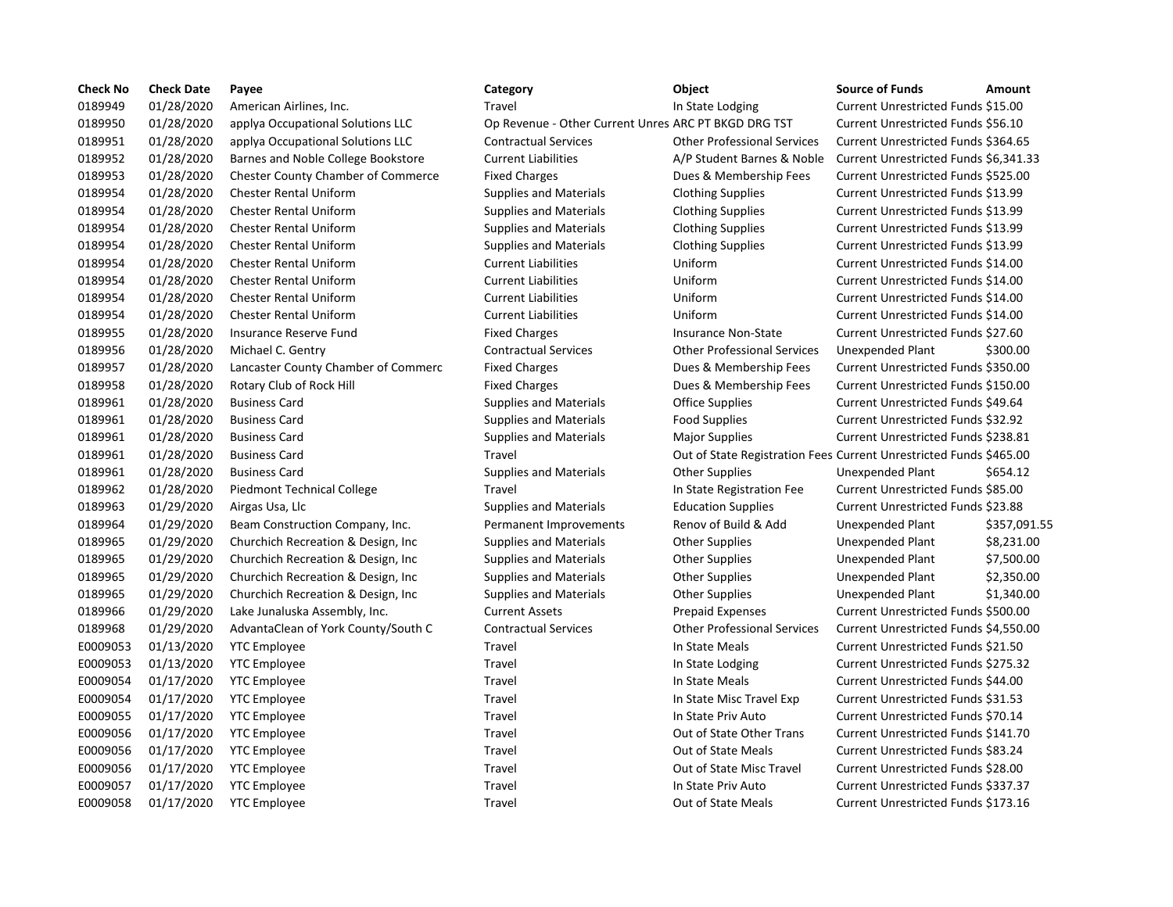| <b>Check No</b> | <b>Check Date</b> | Payee                                     | Category                                             | Object                                                             | <b>Source of Funds</b>                | <b>Amount</b> |
|-----------------|-------------------|-------------------------------------------|------------------------------------------------------|--------------------------------------------------------------------|---------------------------------------|---------------|
| 0189949         | 01/28/2020        | American Airlines, Inc.                   | Travel                                               | In State Lodging                                                   | Current Unrestricted Funds \$15.00    |               |
| 0189950         | 01/28/2020        | applya Occupational Solutions LLC         | Op Revenue - Other Current Unres ARC PT BKGD DRG TST |                                                                    | Current Unrestricted Funds \$56.10    |               |
| 0189951         | 01/28/2020        | applya Occupational Solutions LLC         | <b>Contractual Services</b>                          | <b>Other Professional Services</b>                                 | Current Unrestricted Funds \$364.65   |               |
| 0189952         | 01/28/2020        | Barnes and Noble College Bookstore        | <b>Current Liabilities</b>                           | A/P Student Barnes & Noble                                         | Current Unrestricted Funds \$6,341.33 |               |
| 0189953         | 01/28/2020        | <b>Chester County Chamber of Commerce</b> | <b>Fixed Charges</b>                                 | Dues & Membership Fees                                             | Current Unrestricted Funds \$525.00   |               |
| 0189954         | 01/28/2020        | <b>Chester Rental Uniform</b>             | <b>Supplies and Materials</b>                        | <b>Clothing Supplies</b>                                           | Current Unrestricted Funds \$13.99    |               |
| 0189954         | 01/28/2020        | <b>Chester Rental Uniform</b>             | <b>Supplies and Materials</b>                        | <b>Clothing Supplies</b>                                           | Current Unrestricted Funds \$13.99    |               |
| 0189954         | 01/28/2020        | <b>Chester Rental Uniform</b>             | <b>Supplies and Materials</b>                        | <b>Clothing Supplies</b>                                           | Current Unrestricted Funds \$13.99    |               |
| 0189954         | 01/28/2020        | <b>Chester Rental Uniform</b>             | Supplies and Materials                               | <b>Clothing Supplies</b>                                           | Current Unrestricted Funds \$13.99    |               |
| 0189954         | 01/28/2020        | <b>Chester Rental Uniform</b>             | <b>Current Liabilities</b>                           | Uniform                                                            | Current Unrestricted Funds \$14.00    |               |
| 0189954         | 01/28/2020        | <b>Chester Rental Uniform</b>             | <b>Current Liabilities</b>                           | Uniform                                                            | Current Unrestricted Funds \$14.00    |               |
| 0189954         | 01/28/2020        | <b>Chester Rental Uniform</b>             | <b>Current Liabilities</b>                           | Uniform                                                            | Current Unrestricted Funds \$14.00    |               |
| 0189954         | 01/28/2020        | <b>Chester Rental Uniform</b>             | <b>Current Liabilities</b>                           | Uniform                                                            | Current Unrestricted Funds \$14.00    |               |
| 0189955         | 01/28/2020        | Insurance Reserve Fund                    | <b>Fixed Charges</b>                                 | <b>Insurance Non-State</b>                                         | Current Unrestricted Funds \$27.60    |               |
| 0189956         | 01/28/2020        | Michael C. Gentry                         | <b>Contractual Services</b>                          | <b>Other Professional Services</b>                                 | Unexpended Plant                      | \$300.00      |
| 0189957         | 01/28/2020        | Lancaster County Chamber of Commerc       | <b>Fixed Charges</b>                                 | Dues & Membership Fees                                             | Current Unrestricted Funds \$350.00   |               |
| 0189958         | 01/28/2020        | Rotary Club of Rock Hill                  | <b>Fixed Charges</b>                                 | Dues & Membership Fees                                             | Current Unrestricted Funds \$150.00   |               |
| 0189961         | 01/28/2020        | <b>Business Card</b>                      | <b>Supplies and Materials</b>                        | <b>Office Supplies</b>                                             | Current Unrestricted Funds \$49.64    |               |
| 0189961         | 01/28/2020        | <b>Business Card</b>                      | <b>Supplies and Materials</b>                        | <b>Food Supplies</b>                                               | Current Unrestricted Funds \$32.92    |               |
| 0189961         | 01/28/2020        | <b>Business Card</b>                      | Supplies and Materials                               | Major Supplies                                                     | Current Unrestricted Funds \$238.81   |               |
| 0189961         | 01/28/2020        | <b>Business Card</b>                      | Travel                                               | Out of State Registration Fees Current Unrestricted Funds \$465.00 |                                       |               |
| 0189961         | 01/28/2020        | <b>Business Card</b>                      | <b>Supplies and Materials</b>                        | <b>Other Supplies</b>                                              | Unexpended Plant                      | \$654.12      |
| 0189962         | 01/28/2020        | <b>Piedmont Technical College</b>         | Travel                                               | In State Registration Fee                                          | Current Unrestricted Funds \$85.00    |               |
| 0189963         | 01/29/2020        | Airgas Usa, Llc                           | <b>Supplies and Materials</b>                        | <b>Education Supplies</b>                                          | Current Unrestricted Funds \$23.88    |               |
| 0189964         | 01/29/2020        | Beam Construction Company, Inc.           | Permanent Improvements                               | Renov of Build & Add                                               | Unexpended Plant                      | \$357,091.55  |
| 0189965         | 01/29/2020        | Churchich Recreation & Design, Inc.       | <b>Supplies and Materials</b>                        | <b>Other Supplies</b>                                              | Unexpended Plant                      | \$8,231.00    |
| 0189965         | 01/29/2020        | Churchich Recreation & Design, Inc.       | <b>Supplies and Materials</b>                        | <b>Other Supplies</b>                                              | Unexpended Plant                      | \$7,500.00    |
| 0189965         | 01/29/2020        | Churchich Recreation & Design, Inc.       | <b>Supplies and Materials</b>                        | Other Supplies                                                     | Unexpended Plant                      | \$2,350.00    |
| 0189965         | 01/29/2020        | Churchich Recreation & Design, Inc.       | <b>Supplies and Materials</b>                        | <b>Other Supplies</b>                                              | Unexpended Plant                      | \$1,340.00    |
| 0189966         | 01/29/2020        | Lake Junaluska Assembly, Inc.             | <b>Current Assets</b>                                | <b>Prepaid Expenses</b>                                            | Current Unrestricted Funds \$500.00   |               |
| 0189968         | 01/29/2020        | AdvantaClean of York County/South C       | <b>Contractual Services</b>                          | <b>Other Professional Services</b>                                 | Current Unrestricted Funds \$4,550.00 |               |
| E0009053        | 01/13/2020        | <b>YTC</b> Employee                       | Travel                                               | In State Meals                                                     | Current Unrestricted Funds \$21.50    |               |
| E0009053        | 01/13/2020        | <b>YTC Employee</b>                       | Travel                                               | In State Lodging                                                   | Current Unrestricted Funds \$275.32   |               |
| E0009054        | 01/17/2020        | <b>YTC Employee</b>                       | Travel                                               | In State Meals                                                     | Current Unrestricted Funds \$44.00    |               |
| E0009054        | 01/17/2020        | <b>YTC Employee</b>                       | Travel                                               | In State Misc Travel Exp                                           | Current Unrestricted Funds \$31.53    |               |
| E0009055        | 01/17/2020        | <b>YTC Employee</b>                       | Travel                                               | In State Priv Auto                                                 | Current Unrestricted Funds \$70.14    |               |
| E0009056        | 01/17/2020        | <b>YTC Employee</b>                       | Travel                                               | Out of State Other Trans                                           | Current Unrestricted Funds \$141.70   |               |
| E0009056        | 01/17/2020        | <b>YTC Employee</b>                       | Travel                                               | Out of State Meals                                                 | Current Unrestricted Funds \$83.24    |               |
| E0009056        | 01/17/2020        | <b>YTC Employee</b>                       | Travel                                               | Out of State Misc Travel                                           | Current Unrestricted Funds \$28.00    |               |
| E0009057        | 01/17/2020        | <b>YTC Employee</b>                       | Travel                                               | In State Priv Auto                                                 | Current Unrestricted Funds \$337.37   |               |
| E0009058        | 01/17/2020        | <b>YTC Employee</b>                       | Travel                                               | Out of State Meals                                                 | Current Unrestricted Funds \$173.16   |               |